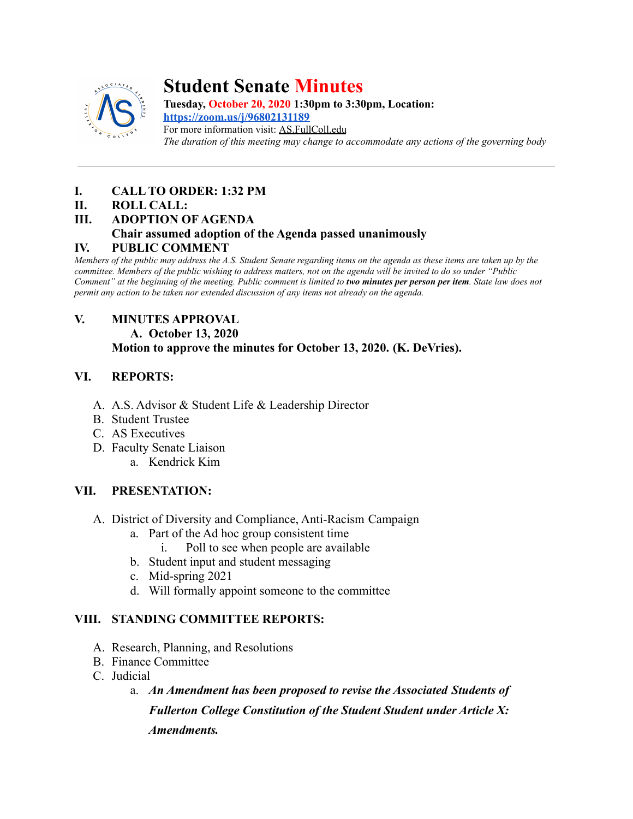

# **Student Senate Minutes**

**Tuesday, October 20, 2020 1:30pm to 3:30pm, Location: <https://zoom.us/j/96802131189>**

For more information visit: AS.FullColl.edu *The duration of this meeting may change to accommodate any actions of the governing body*

# **I. CALL TO ORDER: 1:32 PM**

## **II. ROLL CALL:**

**III. ADOPTION OF AGENDA**

# **Chair assumed adoption of the Agenda passed unanimously**

## **IV. PUBLIC COMMENT**

*Members of the public may address the A.S. Student Senate regarding items on the agenda as these items are taken up by the committee. Members of the public wishing to address matters, not on the agenda will be invited to do so under "Public Comment" at the beginning of the meeting. Public comment is limited to two minutes per person per item. State law does not permit any action to be taken nor extended discussion of any items not already on the agenda.*

## **V. MINUTES APPROVAL**

**A. October 13, 2020**

**Motion to approve the minutes for October 13, 2020. (K. DeVries).**

# **VI. REPORTS:**

- A. A.S. Advisor & Student Life & Leadership Director
- B. Student Trustee
- C. AS Executives
- D. Faculty Senate Liaison
	- a. Kendrick Kim

# **VII. PRESENTATION:**

- A. District of Diversity and Compliance, Anti-Racism Campaign
	- a. Part of the Ad hoc group consistent time
		- i. Poll to see when people are available
	- b. Student input and student messaging
	- c. Mid-spring 2021
	- d. Will formally appoint someone to the committee

# **VIII. STANDING COMMITTEE REPORTS:**

- A. Research, Planning, and Resolutions
- B. Finance Committee
- C. Judicial
	- a. *An Amendment has been proposed to revise the Associated Students of Fullerton College Constitution of the Student Student under Article X: Amendments.*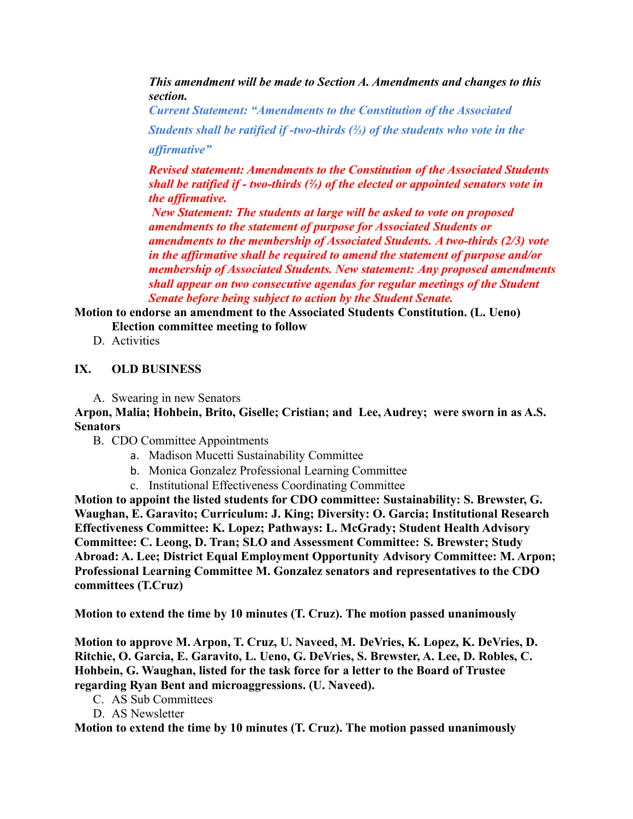*This amendment will be made to Section A. Amendments and changes to this section.*

*Current Statement: "Amendments to the Constitution of the Associated Students shall be ratified if -two-thirds (⅔) of the students who vote in the affirmative"*

*Revised statement: Amendments to the Constitution of the Associated Students shall be ratified if - two-thirds (⅔) of the elected or appointed senators vote in the affirmative.*

*New Statement: The students at large will be asked to vote on proposed amendments to the statement of purpose for Associated Students or amendments to the membership of Associated Students. A two-thirds (2/3) vote in the affirmative shall be required to amend the statement of purpose and/or membership of Associated Students. New statement: Any proposed amendments shall appear on two consecutive agendas for regular meetings of the Student Senate before being subject to action by the Student Senate.*

**Motion to endorse an amendment to the Associated Students Constitution. (L. Ueno) Election committee meeting to follow**

D. Activities

#### **IX. OLD BUSINESS**

A. Swearing in new Senators

**Arpon, Malia; Hohbein, Brito, Giselle; Cristian; and Lee, Audrey; were sworn in as A.S. Senators**

- B. CDO Committee Appointments
	- a. Madison Mucetti Sustainability Committee
	- b. Monica Gonzalez Professional Learning Committee
	- c. Institutional Effectiveness Coordinating Committee

**Motion to appoint the listed students for CDO committee: Sustainability: S. Brewster, G. Waughan, E. Garavito; Curriculum: J. King; Diversity: O. Garcia; Institutional Research Effectiveness Committee: K. Lopez; Pathways: L. McGrady; Student Health Advisory Committee: C. Leong, D. Tran; SLO and Assessment Committee: S. Brewster; Study Abroad: A. Lee; District Equal Employment Opportunity Advisory Committee: M. Arpon; Professional Learning Committee M. Gonzalez senators and representatives to the CDO committees (T.Cruz)**

**Motion to extend the time by 10 minutes (T. Cruz). The motion passed unanimously**

**Motion to approve M. Arpon, T. Cruz, U. Naveed, M. DeVries, K. Lopez, K. DeVries, D. Ritchie, O. Garcia, E. Garavito, L. Ueno, G. DeVries, S. Brewster, A. Lee, D. Robles, C. Hohbein, G. Waughan, listed for the task force for a letter to the Board of Trustee regarding Ryan Bent and microaggressions. (U. Naveed).**

- C. AS Sub Committees
- D. AS Newsletter

**Motion to extend the time by 10 minutes (T. Cruz). The motion passed unanimously**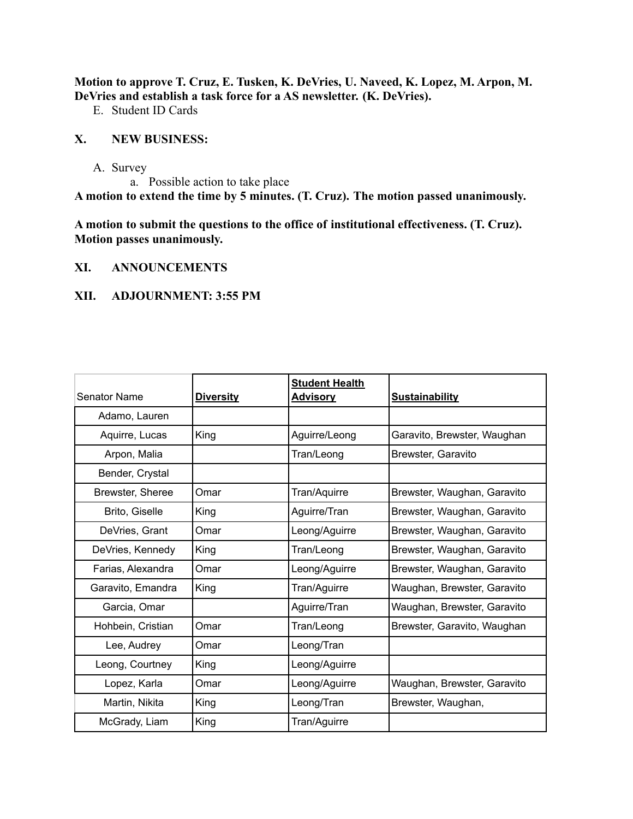**Motion to approve T. Cruz, E. Tusken, K. DeVries, U. Naveed, K. Lopez, M. Arpon, M. DeVries and establish a task force for a AS newsletter. (K. DeVries).**

E. Student ID Cards

#### **X. NEW BUSINESS:**

A. Survey

a. Possible action to take place

**A motion to extend the time by 5 minutes. (T. Cruz). The motion passed unanimously.**

**A motion to submit the questions to the office of institutional effectiveness. (T. Cruz). Motion passes unanimously.**

#### **XI. ANNOUNCEMENTS**

#### **XII. ADJOURNMENT: 3:55 PM**

| <b>Senator Name</b> | <b>Diversity</b> | <b>Student Health</b><br><b>Advisory</b> | <b>Sustainability</b>       |
|---------------------|------------------|------------------------------------------|-----------------------------|
| Adamo, Lauren       |                  |                                          |                             |
| Aquirre, Lucas      | King             | Aguirre/Leong                            | Garavito, Brewster, Waughan |
| Arpon, Malia        |                  | Tran/Leong                               | Brewster, Garavito          |
| Bender, Crystal     |                  |                                          |                             |
| Brewster, Sheree    | Omar             | Tran/Aquirre                             | Brewster, Waughan, Garavito |
| Brito, Giselle      | King             | Aguirre/Tran                             | Brewster, Waughan, Garavito |
| DeVries, Grant      | Omar             | Leong/Aguirre                            | Brewster, Waughan, Garavito |
| DeVries, Kennedy    | King             | Tran/Leong                               | Brewster, Waughan, Garavito |
| Farias, Alexandra   | Omar             | Leong/Aguirre                            | Brewster, Waughan, Garavito |
| Garavito, Emandra   | King             | Tran/Aguirre                             | Waughan, Brewster, Garavito |
| Garcia, Omar        |                  | Aguirre/Tran                             | Waughan, Brewster, Garavito |
| Hohbein, Cristian   | Omar             | Tran/Leong                               | Brewster, Garavito, Waughan |
| Lee, Audrey         | Omar             | Leong/Tran                               |                             |
| Leong, Courtney     | King             | Leong/Aguirre                            |                             |
| Lopez, Karla        | Omar             | Leong/Aguirre                            | Waughan, Brewster, Garavito |
| Martin, Nikita      | King             | Leong/Tran                               | Brewster, Waughan,          |
| McGrady, Liam       | King             | Tran/Aguirre                             |                             |